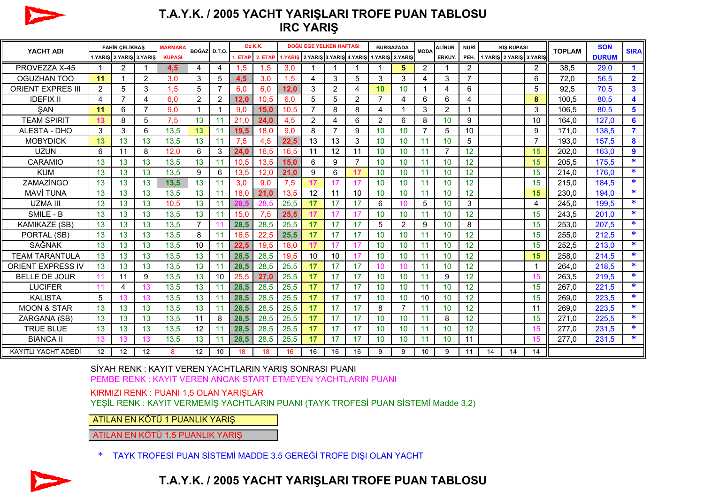

## **T.A.Y.K. / 2005 YACHT YARIŞLARI TROFE PUAN TABLOSU IRC YARIŞ**

| YACHT ADI                  | <b>FAHİR ÇELİKBAŞ</b> |                         |                | <b>MARMARA</b> | BOĞAZI D.T.O.  |                | Dz.K.K. |         |         | DOĞU EGE YELKEN HAFTASI                 |                |                | <b>BURGAZADA</b> |                | <b>MODA</b> | <b>ALİNUR</b>  | <b>NURİ</b>    | <b>KIS KUPASI</b> |                         |                | <b>TOPLAM</b> | <b>SON</b>   | <b>SIRA</b>    |
|----------------------------|-----------------------|-------------------------|----------------|----------------|----------------|----------------|---------|---------|---------|-----------------------------------------|----------------|----------------|------------------|----------------|-------------|----------------|----------------|-------------------|-------------------------|----------------|---------------|--------------|----------------|
|                            |                       | 1.YARIS 2.YARIS 3.YARIS |                | <b>KUPASI</b>  |                |                | 1. ETAP | 2. ETAF | 1.YARIS | 2.YARIS 3.YARIS 4.YARIS 1.YARIS 2.YARIS |                |                |                  |                |             | <b>ERKUY</b>   | PEH.           |                   | 1.YARIS 2.YARIS 3.YARIS |                |               | <b>DURUM</b> |                |
| PROVEZZA X-45              | $\mathbf 1$           | 2                       |                | 4,5            | 4              | 4              | 1.5     | 1,5     | 3.0     |                                         |                |                |                  | 5              | 2           |                | $\overline{2}$ |                   |                         | $\overline{2}$ | 38,5          | 29,0         | $\mathbf 1$    |
| OGUZHAN TOO                | 11                    |                         | 2              | 3.0            | 3              | 5              | 4,5     | 3,0     | 1.5     | 4                                       | 3              | 5              | 3                | 3              | 4           | 3              | $\overline{7}$ |                   |                         | 6              | 72,0          | 56,5         | $\overline{2}$ |
| <b>ORIENT EXPRES III</b>   | 2                     | 5                       | 3              | 1,5            | 5              | $\overline{7}$ | 6,0     | 6,0     | 12,0    | 3                                       | 2              | 4              | 10               | 10             |             | 4              | 6              |                   |                         | 5              | 92,5          | 70,5         | $\mathbf{3}$   |
| <b>IDEFIX II</b>           | 4                     | $\overline{7}$          | 4              | 6,0            | $\overline{2}$ | $\overline{2}$ | 12.0    | 10,5    | 6,0     | 5                                       | 5              | $\overline{c}$ | $\overline{7}$   | 4              | 6           | 6              | 4              |                   |                         | 8              | 100,5         | 80,5         | 4              |
| <b>SAN</b>                 | 11                    | 6                       | $\overline{7}$ | 9,0            | 1              | 1              | 9,0     | 15.0    | 10.5    | $\overline{7}$                          | 8              | 8              | 4                |                | 3           | $\overline{2}$ |                |                   |                         | 3              | 106,5         | 80.5         | 5              |
| <b>TEAM SPIRIT</b>         | 13                    | 8                       | 5              | 7,5            | 13             | 11             | 21,0    | 24,0    | 4.5     | $\overline{2}$                          | 4              | 6              | 2                | 6              | 8           | 10             | 9              |                   |                         | 10             | 164,0         | 127,0        | 6              |
| ALESTA - DHO               | 3                     | 3                       | 6              | 13,5           | 13             | 11             | 19.5    | 18.0    | 9.0     | 8                                       | $\overline{7}$ | 9              | 10 <sup>°</sup>  | 10             | 7           | 5              | 10             |                   |                         | 9              | 171,0         | 138,5        | 7              |
| <b>MOBYDICK</b>            | 13                    | 13                      | 13             | 13,5           | 13             | 11             | 7,5     | 4,5     | 22.5    | 13                                      | 13             | 3              | 10 <sup>°</sup>  | 10             | 11          | 10             | 5              |                   |                         | 7              | 193,0         | 157,5        | 8              |
| <b>UZUN</b>                | 6                     | 11                      | 8              | 12.0           | 6              | 3              | 24,0    | 16,5    | 16.5    | 11                                      | 12             | 11             | 10               | 10             | 11          | $\overline{7}$ | 12             |                   |                         | 15             | 202,0         | 163,0        | 9              |
| CARAMIO                    | 13                    | 13                      | 13             | 13,5           | 13             | 11             | 10,5    | 13,5    | 15,0    | 6                                       | 9              | $\overline{7}$ | 10               | 10             | 11          | 10             | 12             |                   |                         | 15             | 205,5         | 175,5        | $\ast$         |
| <b>KUM</b>                 | 13                    | 13                      | 13             | 13,5           | 9              | 6              | 13,5    | 12,0    | 21,0    | 9                                       | 6              | 17             | 10               | 10             | 11          | 10             | 12             |                   |                         | 15             | 214,0         | 176.0        | *              |
| ZAMAZÍNGO                  | 13                    | 13                      | 13             | 13,5           | 13             | 11             | 3,0     | 9.0     | 7,5     | 17                                      | 17             | 17             | 10               | 10             | 11          | 10             | 12             |                   |                         | 15             | 215,0         | 184,5        | *              |
| <b>MAVİ TUNA</b>           | 13                    | 13                      | 13             | 13,5           | 13             | 11             | 18,0    | 21.0    | 13.5    | 12                                      | 11             | 10             | 10               | 10             | 11          | 10             | 12             |                   |                         | 15             | 230,0         | 194,0        | *              |
| <b>UZMA III</b>            | 13                    | 13                      | 13             | 10,5           | 13             | 11             |         | 28.5    | 25,5    | 17                                      | 17             | 17             | 6                | 10             | 5           | 10             | 3              |                   |                         | 4              | 245,0         | 199,5        | *              |
| SMILE - B                  | 13                    | 13                      | 13             | 13,5           | 13             | 11             | 15.0    | 7,5     | 25,5    | 17                                      | 17             | 17             | 10               | 10             | 11          | 10             | 12             |                   |                         | 15             | 243,5         | 201,0        | $\ast$         |
| <b>KAMIKAZE (SB)</b>       | 13                    | 13                      | 13             | 13,5           | $\overline{7}$ |                | 28,5    | 28,5    | 25,5    | 17                                      | 17             | 17             | 5                | $\overline{2}$ | 9           | 10             | 8              |                   |                         | 15             | 253,0         | 207,5        | *              |
| PORTAL (SB)                | 13                    | 13                      | 13             | 13,5           | 8              | 11             | 16,5    | 22,5    | 25,5    | 17                                      | 17             | 17             | 10               | 10             | 11          | 10             | 12             |                   |                         | 15             | 255,0         | 212,5        | *              |
| SAĞNAK                     | 13                    | 13                      | 13             | 13,5           | 10             | 11             | 22,5    | 19,5    | 18,0    | 17                                      | 17             | 17             | 10               | 10             | 11          | 10             | 12             |                   |                         | 15             | 252,5         | 213,0        | $\ast$         |
| <b>TEAM TARANTULA</b>      | 13                    | 13                      | 13             | 13,5           | 13             | 11             | 28.5    | 28.5    | 19.5    | 10                                      | 10             | 17             | 10               | 10             | 11          | 10             | 12             |                   |                         | 15             | 258,0         | 214,5        | *              |
| <b>ORIENT EXPRESS IV</b>   | 13                    | 13                      | 13             | 13,5           | 13             | 11             | 28,5    | 28,5    | 25,5    | 17                                      | 17             | 17             | 10               | 10             | 11          | 10             | 12             |                   |                         |                | 264.0         | 218,5        | $\ast$         |
| <b>BELLE DE JOUR</b>       | 11                    | 11                      | 9              | 13,5           | 13             | 10             | 25,5    | 27.0    | 25,5    | 17                                      | 17             | 17             | 10               | 10             | 11          | 9              | 12             |                   |                         | 15             | 263,5         | 219,5        | *              |
| <b>LUCIFER</b>             | 11                    | 4                       | 13             | 13,5           | 13             | 11             | 28,5    | 28,5    | 25,5    | 17                                      | 17             | 17             | 10               | 10             | 11          | 10             | 12             |                   |                         | 15             | 267,0         | 221,5        | *              |
| <b>KALISTA</b>             | 5                     |                         | 13             | 13,5           | 13             | 11             | 28,5    | 28,5    | 25,5    | 17                                      | 17             | 17             | 10               | 10             | 10          | 10             | 12             |                   |                         | 15             | 269,0         | 223,5        | *              |
| <b>MOON &amp; STAR</b>     | 13                    | 13                      | 13             | 13,5           | 13             | 11             | 28,5    | 28,5    | 25,5    | 17                                      | 17             | 17             | 8                | 7              | 11          | 10             | 12             |                   |                         | 11             | 269,0         | 223,5        | $\ast$         |
| ZARGANA (SB)               | 13                    | 13                      | 13             | 13,5           | 11             | 8              | 28,5    | 28,5    | 25,5    | 17                                      | 17             | 17             | 10               | 10             | 11          | 8              | 12             |                   |                         | 15             | 271,0         | 225,5        | *              |
| <b>TRUE BLUE</b>           | 13                    | 13                      | 13             | 13,5           | 12             | 11             | 28.5    | 28.5    | 25,5    | 17                                      | 17             | 17             | 10               | 10             | 11          | 10             | 12             |                   |                         | 15             | 277,0         | 231.5        | *              |
| <b>BIANCA II</b>           | 13                    |                         | 13             | 13,5           | 13             | 11             | 28,5    | 28,5    | 25,5    | 17                                      | 17             | 17             | 10               | 10             | 11          | 10             | 11             |                   |                         | 15             | 277,0         | 231,5        | *              |
| <b>KAYITLI YACHT ADEDİ</b> | 12                    | 12                      | 12             | 8              | 12             | 10             | 18      | 18      | 16      | 16                                      | 16             | 16             | 9                | 9              | 10          | 9              | 11             | 14                | 14                      | 14             |               |              |                |

<sup>S</sup>İYAH RENK : KAYIT VEREN YACHTLARIN YARIŞ SONRASI PUANI PEMBE RENK : KAYIT VEREN ANCAK START ETMEYEN YACHTLARIN PUANI

KIRMIZI RENK : PUANI 1,5 OLAN YARIŞLAR

YEŞİL RENK : KAYIT VERMEMİŞ YACHTLARIN PUANI (TAYK TROFESİ PUAN SİSTEMİ Madde 3.2)

ATILAN EN KÖTÜ 1 PUANLIK YARIŞ

ATILAN EN KÖTÜ 1.5 PUANLIK YARIŞ





## **T.A.Y.K. / 2005 YACHT YARIŞLARI TROFE PUAN TABLOSU**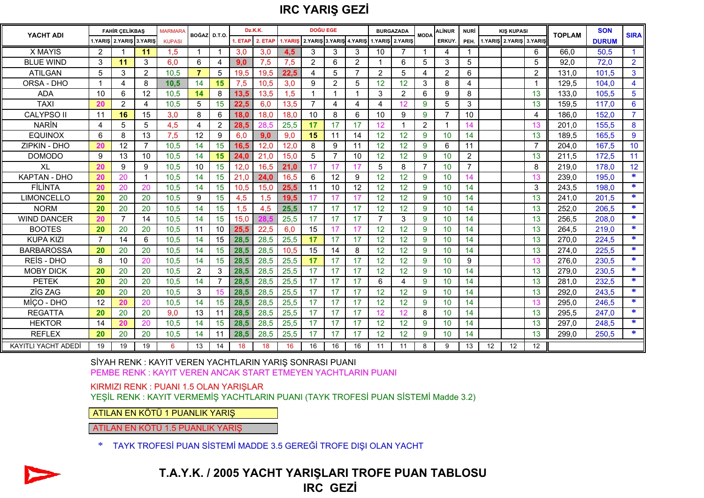## **IRC YARIŞ GEZİ**

| YACHT ADI                  | <b>FAHİR CELİKBAS</b> |                         |                | <b>MARMARA</b> | BOĞAZ D.T.O. |                | Dz.K.K. |         |         | <b>DOĞU EGE</b>         |                |                | <b>BURGAZADA</b> |    | <b>MODA</b>    | ALİNUR       | <b>NURİ</b>    | <b>KIS KUPASI</b> |                         |                   | <b>TOPLAM</b> | <b>SON</b>   | <b>SIRA</b>             |
|----------------------------|-----------------------|-------------------------|----------------|----------------|--------------|----------------|---------|---------|---------|-------------------------|----------------|----------------|------------------|----|----------------|--------------|----------------|-------------------|-------------------------|-------------------|---------------|--------------|-------------------------|
|                            |                       | 1.YARIŞ 2.YARIŞ 3.YARIŞ |                | <b>KUPASI</b>  |              |                | . ETAP  | 2. ETAP | 1.YARIS | 2.YARIS 3.YARIS 4.YARIS |                |                | 1.YARIŞ 2.YARIŞ  |    |                | <b>ERKUY</b> | PEH.           |                   | 1.YARIS 2.YARIS 3.YARIS |                   |               | <b>DURUM</b> |                         |
| <b>X MAYIS</b>             | 2                     |                         | 11             | 1.5            |              |                | 3.0     | 3,0     | 4.5     | 3                       | 3              | 3              | 10               |    |                | 4            |                |                   |                         | 6                 | 66.0          | 50.5         |                         |
| <b>BLUE WIND</b>           | 3                     | 11                      | 3              | 6,0            | 6            | 4              | 9.0     | 7,5     | 7,5     | $\overline{2}$          | 6              | $\overline{2}$ |                  | 6  | 5              | 3            | 5              |                   |                         | 5                 | 92,0          | 72,0         | $\overline{2}$          |
| <b>ATILGAN</b>             | 5                     | 3                       | 2              | 10,5           | 7            | 5              | 19.5    | 19,5    | 22,5    | 4                       | 5              | $\overline{7}$ | 2                | 5  | 4              | 2            | 6              |                   |                         | $\overline{2}$    | 131,0         | 101,5        | 3                       |
| ORSA - DHO                 | $\mathbf 1$           | 4                       | 8              | 10,5           | 14           | 15             | 7,5     | 10.5    | 3.0     | 9                       | 2              | 5              | 12               | 12 | 3              | 8            | 4              |                   |                         |                   | 129,5         | 104.0        | $\overline{\mathbf{4}}$ |
| <b>ADA</b>                 | 10                    | 6                       | 12             | 10.5           | 14           | 8              | 13.5    | 13,5    | 1.5     |                         |                |                | 3                | 2  | 6              | 9            | 8              |                   |                         | 13                | 133,0         | 105.5        | 5                       |
| <b>TAXI</b>                | 20                    | $\overline{2}$          | 4              | 10,5           | 5            | 15             | 22.5    | 6,0     | 13,5    |                         | 4              | 4              | 4                | 12 | 9              | 5            | 3              |                   |                         | 13                | 159,5         | 117,0        | 6                       |
| <b>CALYPSO II</b>          | 11                    | 16                      | 15             | 3,0            | 8            | 6              | 18.0    | 18,0    | 18,0    | 10                      | 8              | 6              | 10               | 9  | 9              | 7            | 10             |                   |                         | 4                 | 186,0         | 152,0        | $\overline{7}$          |
| <b>NARIN</b>               | 4                     | 5                       | 5              | 4,5            | 4            | 2              | 28.5    | 28.5    | 25,5    | 17                      | 17             | 17             | 12               |    | $\overline{2}$ |              | 14             |                   |                         | 13                | 201.0         | 155,5        | 8                       |
| <b>EQUINOX</b>             | 6                     | 8                       | 13             | 7,5            | 12           | 9              | 6.0     | 9.0     | 9.0     | 15                      | 11             | 14             | 12               | 12 | 9              | 10           | 14             |                   |                         | 13                | 189.5         | 165.5        | 9                       |
| ZIPKIN - DHO               | 20                    | 12                      | $\overline{7}$ | 10,5           | 14           | 15             | 16.5    | 12,0    | 12,0    | 8                       | 9              | 11             | 12               | 12 | 9              | 6            | 11             |                   |                         | $\overline{7}$    | 204,0         | 167,5        | 10                      |
| <b>DOMODO</b>              | 9                     | 13                      | 10             | 10,5           | 14           | 15             | 24.0    | 21.0    | 15,0    | 5                       | $\overline{7}$ | 10             | 12               | 12 | 9              | 10           | 2              |                   |                         | 13                | 211,5         | 172,5        | 11                      |
| XL                         | 20                    | 9                       | 9              | 10,5           | 10           | 15             | 12.0    | 16,5    | 21,0    | 17                      | 17             | 17             | 5                | 8  | $\overline{7}$ | 10           | $\overline{7}$ |                   |                         | 8                 | 219,0         | 178.0        | 12                      |
| <b>KAPTAN - DHO</b>        | 20                    | 20                      | -1             | 10,5           | 14           | 15             | 21.0    | 24,0    | 16.5    | 6                       | 12             | 9              | 12               | 12 | 9              | 10           | 14             |                   |                         | 13                | 239,0         | 195.0        | $\ast$                  |
| FİLİNTA                    | 20                    | 20                      | 20             | 10.5           | 14           | 15             | 10.5    | 15.0    | 25.5    | 11                      | 10             | 12             | 12               | 12 | 9              | 10           | 14             |                   |                         | 3                 | 243,5         | 198.0        | *                       |
| <b>LIMONCELLO</b>          | 20                    | 20                      | 20             | 10,5           | 9            | 15             | 4,5     | 1,5     | 19.5    | 17                      | 17             | 17             | 12               | 12 | 9              | 10           | 14             |                   |                         | 13                | 241,0         | 201,5        | *                       |
| <b>NORM</b>                | 20                    | 20                      | 20             | 10,5           | 14           | 15             | 1,5     | 4,5     | 25,5    | 17                      | 17             | 17             | 12               | 12 | 9              | 10           | 14             |                   |                         | 13                | 252,0         | 206,5        | $\ast$                  |
| <b>WIND DANCER</b>         | <b>20</b>             |                         | 14             | 10,5           | 14           | 15             | 15.0    |         | 25,5    | 17                      | 17             | 17             | 7                | 3  | 9              | 10           | 14             |                   |                         | 13                | 256.5         | 208.0        | $\ast$                  |
| <b>BOOTES</b>              | 20                    | 20                      | 20             | 10,5           | 11           | 10             | 25.5    | 22,5    | 6,0     | 15                      | 17             | 17             | 12               | 12 | 9              | 10           | 14             |                   |                         | 13                | 264,5         | 219.0        | *                       |
| <b>KUPA KIZI</b>           | $\overline{7}$        | 14                      | 6              | 10,5           | 14           | 15             | 28,5    | 28,5    | 25,5    | 17                      | 17             | 17             | 12               | 12 | 9              | 10           | 14             |                   |                         | 13                | 270,0         | 224,5        | *                       |
| <b>BARBAROSSA</b>          | 20                    | 20                      | 20             | 10,5           | 14           | 15             | 28,5    | 28,5    | 10.5    | 15                      | 14             | 8              | 12               | 12 | 9              | 10           | 14             |                   |                         | 13                | 274,0         | 225,5        | $\ast$                  |
| <b>REIS - DHO</b>          | 8                     | 10                      | 20             | 10,5           | 14           | 15             | 28.5    | 28,5    | 25,5    | 17                      | 17             | 17             | 12               | 12 | 9              | 10           | 9              |                   |                         | 13                | 276,0         | 230,5        | $\ast$                  |
| <b>MOBY DICK</b>           | 20                    | 20                      | 20             | 10.5           | 2            | 3              | 28,5    | 28,5    | 25,5    | 17                      | 17             | 17             | 12               | 12 | 9              | 10           | 14             |                   |                         | 13                | 279,0         | 230,5        | *                       |
| <b>PETEK</b>               | 20                    | 20                      | 20             | 10,5           | 14           | $\overline{7}$ | 28,5    | 28,5    | 25,5    | 17                      | 17             | 17             | 6                | 4  | 9              | 10           | 14             |                   |                         | 13                | 281,0         | 232,5        | *                       |
| <b>ZİG ZAG</b>             | 20                    | 20                      | 20             | 10,5           | 3            | 15             | 28,5    | 28,5    | 25,5    | 17                      | 17             | 17             | 12               | 12 | 9              | 10           | 14             |                   |                         | 13                | 292,0         | 243,5        | $\ast$                  |
| MICO - DHO                 | 12                    | 20                      | 20             | 10,5           | 14           | 15             | 28.5    | 28,5    | 25,5    | 17                      | 17             | 17             | 12               | 12 | 9              | 10           | 14             |                   |                         | 13                | 295.0         | 246,5        | $\ast$                  |
| <b>REGATTA</b>             | 20                    | 20                      | 20             | 9,0            | 13           | 11             | 28,5    | 28,5    | 25,5    | 17                      | 17             | 17             | 12               | 12 | 8              | 10           | 14             |                   |                         | 13                | 295.5         | 247,0        | *                       |
| <b>HEKTOR</b>              | 14                    | 20                      | 20             | 10,5           | 14           | 15             | 28,5    | 28,5    | 25,5    | 17                      | 17             | 17             | 12               | 12 | 9              | 10           | 14             |                   |                         | 13                | 297,0         | 248,5        | *                       |
| <b>REFLEX</b>              | 20                    | 20                      | 20             | 10,5           | 14           | 11             | 28,5    | 28,5    | 25,5    | 17                      | 17             | 17             | 12               | 12 | 9              | 10           | 14             |                   |                         | 13                | 299,0         | 250,5        | *                       |
| <b>KAYITLI YACHT ADEDI</b> | 19                    | 19                      | 19             | 6              | 13           | 14             | 18      | 18      | 16      | 16                      | 16             | 16             | 11               | 11 | 8              | 9            | 13             | 12                | 12                      | $12 \overline{ }$ |               |              |                         |

<sup>S</sup>İYAH RENK : KAYIT VEREN YACHTLARIN YARIŞ SONRASI PUANI PEMBE RENK : KAYIT VEREN ANCAK START ETMEYEN YACHTLARIN PUANI

KIRMIZI RENK : PUANI 1.5 OLAN YARIŞLAR

YEŞİL RENK : KAYIT VERMEMİŞ YACHTLARIN PUANI (TAYK TROFESİ PUAN SİSTEMİ Madde 3.2)

ATILAN EN KÖTÜ 1 PUANLIK YARIŞ

ATILAN EN KÖTÜ 1.5 PUANLIK YARIŞ

\* TAYK TROFESİ PUAN SİSTEMİ MADDE 3.5 GEREĞİ TROFE DIŞI OLAN YACHT



**T.A.Y.K. / 2005 YACHT YARIŞLARI TROFE PUAN TABLOSU IRC GEZİ**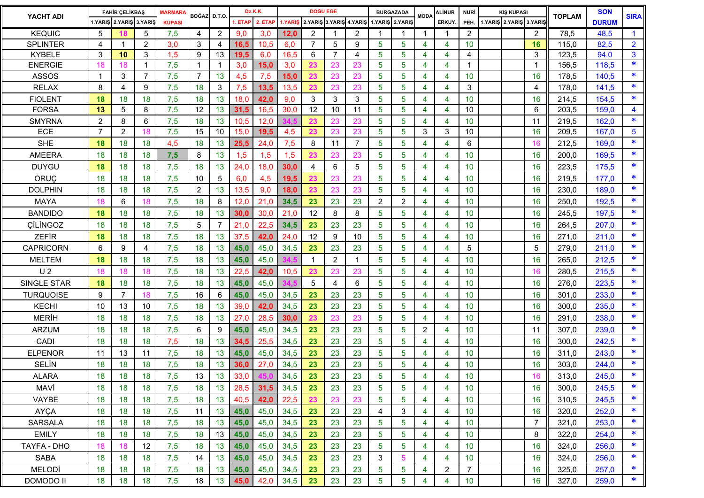| YACHT ADI        | <b>FAHİR ÇELİKBAŞ</b> |                    | <b>MARMARA</b>          | BOĞAZ D.T.O.  |                | Dz.K.K.        |      | <b>DOĞU EGE</b> |                                                 |                |                | <b>BURGAZADA</b> |                 | <b>MODA</b>    | ALİNUR         | <b>NURİ</b>             | <b>KIS KUPASI</b> |  |                              | <b>TOPLAM</b>  | <b>SON</b> | <b>SIRA</b>  |                |
|------------------|-----------------------|--------------------|-------------------------|---------------|----------------|----------------|------|-----------------|-------------------------------------------------|----------------|----------------|------------------|-----------------|----------------|----------------|-------------------------|-------------------|--|------------------------------|----------------|------------|--------------|----------------|
|                  |                       |                    | 1.YARIS 2.YARIS 3.YARIS | <b>KUPASI</b> |                |                |      | 1. ETAP 2. ETAP | 1.YARIŞ 2.YARIŞ 3.YARIŞ 4.YARIŞ 1.YARIŞ 2.YARIŞ |                |                |                  |                 |                |                | ERKUY.                  |                   |  | PEH. 1.YARIŞ 2.YARIŞ 3.YARIŞ |                |            | <b>DURUM</b> |                |
| <b>KEQUIC</b>    | 5                     |                    | 5                       | 7,5           | 4              | $\overline{2}$ | 9,0  | 3,0             | 12.0                                            | 2              |                | $\overline{2}$   |                 | -1             | -1             | -1                      | $\overline{2}$    |  |                              | $\overline{2}$ | 78,5       | 48,5         | $\mathbf{1}$   |
| <b>SPLINTER</b>  | 4                     |                    | 2                       | 3,0           | 3              | 4              | 16,5 | 10,5            | 6.0                                             | $\overline{7}$ | 5              | 9                | 5               | 5              | 4              | 4                       | 10                |  |                              | 16             | 115,0      | 82,5         | $\overline{2}$ |
| <b>KYBELE</b>    | 3                     | 10                 | 3                       | 1,5           | 9              | 13             | 19,5 | 6,0             | 16.5                                            | 6              | $\overline{7}$ | 4                | 5               | 5              | 4              | 4                       | 4                 |  |                              | 3              | 123,5      | 94,0         | 3              |
| <b>ENERGIE</b>   | 18                    | 18                 | $\mathbf{1}$            | 7,5           | $\overline{1}$ |                | 3,0  | 15,0            | 3,0                                             | 23             | 23             | 23               | $\overline{5}$  | $\overline{5}$ | 4              | 4                       | $\mathbf 1$       |  |                              | $\mathbf{1}$   | 156,5      | 118,5        | *              |
| <b>ASSOS</b>     | -1                    | 3                  | $\overline{7}$          | 7,5           | $\overline{7}$ | 13             | 4,5  | 7,5             | 15,0                                            | 23             | 23             | 23               | 5               | 5              | 4              | 4                       | 10                |  |                              | 16             | 178,5      | 140,5        | ∗              |
| <b>RELAX</b>     | 8                     | $\overline{\bf 4}$ | 9                       | 7,5           | 18             | 3              | 7,5  | 13,5            | 13,5                                            | 23             | 23             | 23               | 5               | 5              | 4              | 4                       | 3                 |  |                              | 4              | 178,0      | 141,5        | *              |
| <b>FIOLENT</b>   | 18                    | 18                 | 18                      | 7,5           | 18             | 13             | 18,0 | 42,0            | 9,0                                             | 3              | 3              | 3                | 5               | 5              | 4              | 4                       | 10                |  |                              | 16             | 214,5      | 154,5        | *              |
| <b>FORSA</b>     | 13                    | 5                  | 8                       | 7,5           | 12             | 13             | 31,5 | 16,5            | 30.0                                            | 12             | 10             | 11               | 5               | 5              | 4              | 4                       | 10                |  |                              | 6              | 203,5      | 159,0        | 4              |
| <b>SMYRNA</b>    | $\overline{2}$        | 8                  | 6                       | 7,5           | 18             | 13             | 10,5 | 12,0            |                                                 | 23             | 23             | 23               | 5               | 5              | 4              | $\overline{\mathbf{4}}$ | 10                |  |                              | 11             | 219,5      | 162,0        | ∗              |
| ECE              | $\overline{7}$        | $\overline{2}$     | 18                      | 7,5           | 15             | 10             | 15,0 | 19,5            | 4,5                                             | 23             | 23             | 23               | $\overline{5}$  | 5              | 3              | 3                       | 10                |  |                              | 16             | 209,5      | 167,0        | $\overline{5}$ |
| <b>SHE</b>       | 18                    | 18                 | 18                      | 4,5           | 18             | 13             | 25,5 | 24,0            | 7,5                                             | 8              | 11             | $\overline{7}$   | 5               | 5              | 4              | 4                       | 6                 |  |                              | 16             | 212,5      | 169,0        | *              |
| <b>AMEERA</b>    | 18                    | 18                 | 18                      | 7,5           | 8              | 13             | 1,5  | 1,5             | 1,5                                             | 23             | 23             | 23               | 5               | 5              | 4              | 4                       | 10                |  |                              | 16             | 200,0      | 169,5        | *              |
| <b>DUYGU</b>     | 18                    | 18                 | 18                      | 7,5           | 18             | 13             | 24,0 | 18,0            | 30.0                                            | 4              | 6              | 5                | 5               | 5              | 4              | 4                       | 10                |  |                              | 16             | 223,5      | 175,5        | ∗              |
| ORUC             | 18                    | 18                 | 18                      | 7,5           | 10             | 5              | 6,0  | 4,5             | 19,5                                            | 23             | 23             | 23               | 5               | 5              | 4              | 4                       | 10                |  |                              | 16             | 219,5      | 177,0        | *              |
| <b>DOLPHIN</b>   | 18                    | 18                 | 18                      | 7,5           | $\overline{2}$ | 13             | 13,5 | 9,0             | 18,0                                            | 23             | 23             | 23               | 5               | 5              | 4              | 4                       | 10                |  |                              | 16             | 230,0      | 189,0        | *              |
| <b>MAYA</b>      | 18                    | 6                  | 18                      | 7,5           | 18             | 8              | 12,0 | 21,0            | 34,5                                            | 23             | 23             | 23               | $\overline{2}$  | $\overline{2}$ | 4              | 4                       | 10                |  |                              | 16             | 250,0      | 192,5        | *              |
| <b>BANDIDO</b>   | 18                    | 18                 | 18                      | 7,5           | 18             | 13             | 30,0 | 30,0            | 21,0                                            | 12             | 8              | 8                | 5               | 5              | 4              | 4                       | 10                |  |                              | 16             | 245,5      | 197,5        | *              |
| CİLİNGOZ         | 18                    | 18                 | 18                      | 7,5           | 5              | $\overline{7}$ | 21,0 | 22,5            | 34,5                                            | 23             | 23             | 23               | 5               | 5              | 4              | 4                       | 10                |  |                              | 16             | 264,5      | 207,0        | *              |
| <b>ZEFIR</b>     | 18                    | 18                 | 18                      | 7,5           | 18             | 13             | 37,5 | 42,0            | 24,0                                            | 12             | 9              | 10               | $\overline{5}$  | 5              | 4              | 4                       | 10                |  |                              | 16             | 271,0      | 211,0        | ∗              |
| <b>CAPRICORN</b> | 6                     | 9                  | 4                       | 7,5           | 18             | 13             | 45,0 | 45,0            | 34,5                                            | 23             | 23             | 23               | $5\phantom{.0}$ | 5              | 4              | 4                       | 5                 |  |                              | 5              | 279,0      | 211,0        | *              |
| <b>MELTEM</b>    | 18                    | 18                 | 18                      | 7,5           | 18             | 13             | 45,0 | 45,0            |                                                 | 1              | 2              | $\mathbf{1}$     | 5               | 5              | 4              | 4                       | 10                |  |                              | 16             | 265,0      | 212,5        | *              |
| U <sub>2</sub>   | 18                    | 18                 | 18                      | 7,5           | 18             | 13             | 22,5 | 42,0            | 10,5                                            | 23             |                | 23               | 5               | 5              | 4              | 4                       | 10                |  |                              | 16             | 280,5      | 215,5        | *              |
| SINGLE STAR      | 18                    | 18                 | 18                      | 7,5           | 18             | 13             | 45,0 | 45,0            |                                                 | 5              | 4              | 6                | 5               | $\overline{5}$ | 4              | 4                       | 10                |  |                              | 16             | 276,0      | 223,5        | *              |
| <b>TURQUOISE</b> | 9                     | $\overline{7}$     | 18                      | 7,5           | 16             | 6              | 45,0 | 45,0            | 34,5                                            | 23             | 23             | 23               | 5               | 5              | 4              | 4                       | 10                |  |                              | 16             | 301,0      | 233,0        | ∗              |
| <b>KECHI</b>     | 10                    | 13                 | 10                      | 7,5           | 18             | 13             | 39,0 | 42,0            | 34,5                                            | 23             | 23             | 23               | 5               | 5              | 4              | $\overline{\mathbf{4}}$ | 10                |  |                              | 16             | 300,0      | 235,0        | *              |
| <b>MERİH</b>     | 18                    | 18                 | 18                      | 7,5           | 18             | 13             | 27,0 | 28,5            | 30.0                                            | 23             | 23             | 23               | $\overline{5}$  | 5              | 4              | 4                       | 10                |  |                              | 16             | 291,0      | 238,0        | *              |
| <b>ARZUM</b>     | 18                    | 18                 | 18                      | 7,5           | 6              | 9              | 45,0 | 45,0            | 34,5                                            | 23             | 23             | 23               | 5               | 5              | $\overline{2}$ | 4                       | 10                |  |                              | 11             | 307,0      | 239,0        | *              |
| CADI             | 18                    | 18                 | 18                      | 7,5           | 18             | 13             | 34,5 | 25,5            | 34,5                                            | 23             | 23             | 23               | 5               | 5              | 4              | 4                       | 10                |  |                              | 16             | 300.0      | 242,5        | *              |
| <b>ELPENOR</b>   | 11                    | 13                 | 11                      | 7,5           | 18             | 13             | 45,0 | 45,0            | 34,5                                            | 23             | 23             | 23               | 5               | 5              | 4              | 4                       | 10                |  |                              | 16             | 311,0      | 243,0        | *              |
| <b>SELIN</b>     | 18                    | 18                 | 18                      | 7,5           | 18             | 13             | 36,0 | 27,0            | 34,5                                            | 23             | 23             | 23               | 5               | 5              | 4              | 4                       | 10                |  |                              | 16             | 303,0      | 244,0        | *              |
| <b>ALARA</b>     | 18                    | 18                 | 18                      | 7,5           | 13             | 13             | 33,0 |                 | 34,5                                            | 23             | 23             | 23               | 5               | 5              | 4              | 4                       | 10                |  |                              | 16             | 313,0      | 245,0        | *              |
| MAVİ             | 18                    | 18                 | 18                      | 7,5           | 18             | 13             | 28,5 | 31,5            | 34,5                                            | 23             | 23             | 23               | 5               | 5              | 4              | 4                       | 10                |  |                              | 16             | 300,0      | 245,5        | ∗              |
| VAYBE            | 18                    | 18                 | 18                      | 7,5           | 18             | 13             | 40,5 | 42,0            | 22,5                                            | 23             | 23             | 23               | 5               | 5              | $\overline{4}$ | 4                       | 10                |  |                              | 16             | 310,5      | 245,5        | *              |
| <b>AYÇA</b>      | 18                    | 18                 | 18                      | 7,5           | 11             | 13             | 45,0 | 45,0            | 34,5                                            | 23             | 23             | 23               | 4               | 3              | 4              | 4                       | 10                |  |                              | 16             | 320,0      | 252,0        | ∗              |
| <b>SARSALA</b>   | 18                    | 18                 | 18                      | 7,5           | 18             | 13             | 45,0 | 45,0            | 34,5                                            | 23             | 23             | 23               | 5               | 5              | 4              | 4                       | 10                |  |                              | $\overline{7}$ | 321,0      | 253,0        | *              |
| <b>EMILY</b>     | 18                    | 18                 | 18                      | 7,5           | 18             | 13             | 45,0 | 45,0            | 34,5                                            | 23             | 23             | 23               | 5               | 5              | 4              | 4                       | 10                |  |                              | 8              | 322,0      | 254,0        | *              |
| TAYFA - DHO      | 18                    | 18                 | 12                      | 7,5           | 18             | 13             | 45,0 | 45,0            | 34,5                                            | 23             | 23             | 23               | 5               | 5              | 4              | 4                       | 10                |  |                              | 16             | 324,0      | 256,0        | *              |
| <b>SABA</b>      | 18                    | 18                 | 18                      | 7,5           | 14             | 13             | 45,0 | 45,0            | 34,5                                            | 23             | 23             | 23               | 3               | 5              | 4              | 4                       | 10                |  |                              | 16             | 324,0      | 256,0        | *              |
| <b>MELODİ</b>    | 18                    | 18                 | 18                      | 7,5           | 18             | 13             | 45,0 | 45,0            | 34,5                                            | 23             | 23             | 23               | 5               | 5              | 4              | $\overline{2}$          | $\overline{7}$    |  |                              | 16             | 325,0      | 257,0        | *              |
| <b>DOMODO II</b> | 18                    | 18                 | 18                      | 7,5           | 18             | 13             | 45,0 | 42,0            | 34,5                                            | 23             | 23             | 23               | 5               | $\overline{5}$ | 4              | 4                       | 10                |  |                              | 16             | 327,0      | 259,0        | *.             |